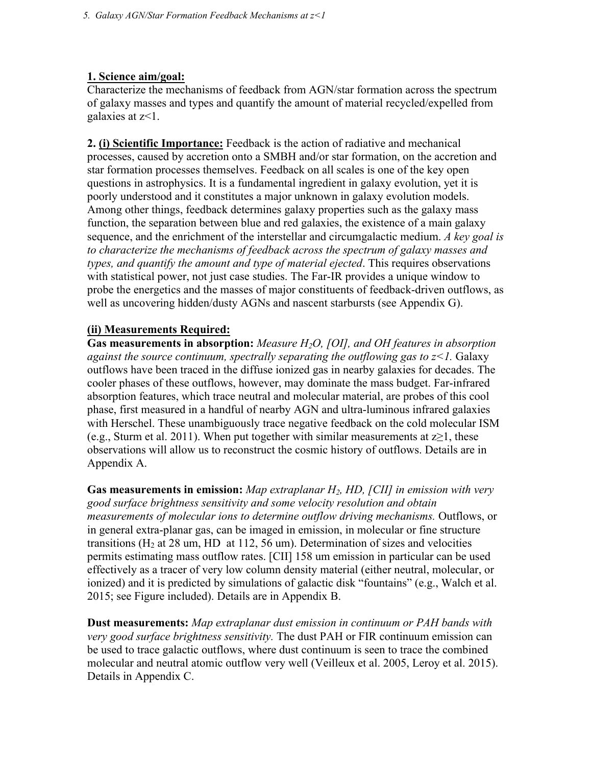### **1. Science aim/goal:**

Characterize the mechanisms of feedback from AGN/star formation across the spectrum of galaxy masses and types and quantify the amount of material recycled/expelled from galaxies at z<1.

**2. (i) Scientific Importance:** Feedback is the action of radiative and mechanical processes, caused by accretion onto a SMBH and/or star formation, on the accretion and star formation processes themselves. Feedback on all scales is one of the key open questions in astrophysics. It is a fundamental ingredient in galaxy evolution, yet it is poorly understood and it constitutes a major unknown in galaxy evolution models. Among other things, feedback determines galaxy properties such as the galaxy mass function, the separation between blue and red galaxies, the existence of a main galaxy sequence, and the enrichment of the interstellar and circumgalactic medium. *A key goal is to characterize the mechanisms of feedback across the spectrum of galaxy masses and types, and quantify the amount and type of material ejected*. This requires observations with statistical power, not just case studies. The Far-IR provides a unique window to probe the energetics and the masses of major constituents of feedback-driven outflows, as well as uncovering hidden/dusty AGNs and nascent starbursts (see Appendix G).

### **(ii) Measurements Required:**

**Gas measurements in absorption:** *Measure H2O, [OI], and OH features in absorption against the source continuum, spectrally separating the outflowing gas to z<1.* Galaxy outflows have been traced in the diffuse ionized gas in nearby galaxies for decades. The cooler phases of these outflows, however, may dominate the mass budget. Far-infrared absorption features, which trace neutral and molecular material, are probes of this cool phase, first measured in a handful of nearby AGN and ultra-luminous infrared galaxies with Herschel. These unambiguously trace negative feedback on the cold molecular ISM (e.g., Sturm et al. 2011). When put together with similar measurements at  $z\geq 1$ , these observations will allow us to reconstruct the cosmic history of outflows. Details are in Appendix A.

**Gas measurements in emission:** *Map extraplanar H2, HD, [CII] in emission with very good surface brightness sensitivity and some velocity resolution and obtain measurements of molecular ions to determine outflow driving mechanisms.* Outflows, or in general extra-planar gas, can be imaged in emission, in molecular or fine structure transitions ( $H_2$  at 28 um, HD at 112, 56 um). Determination of sizes and velocities permits estimating mass outflow rates. [CII] 158 um emission in particular can be used effectively as a tracer of very low column density material (either neutral, molecular, or ionized) and it is predicted by simulations of galactic disk "fountains" (e.g., Walch et al. 2015; see Figure included). Details are in Appendix B.

**Dust measurements:** *Map extraplanar dust emission in continuum or PAH bands with very good surface brightness sensitivity.* The dust PAH or FIR continuum emission can be used to trace galactic outflows, where dust continuum is seen to trace the combined molecular and neutral atomic outflow very well (Veilleux et al. 2005, Leroy et al. 2015). Details in Appendix C.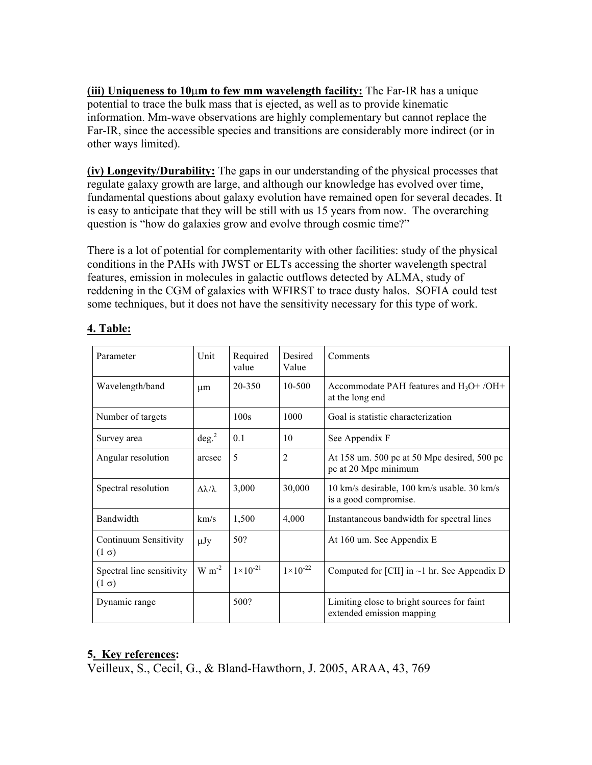**(iii) Uniqueness to 10**µ**m to few mm wavelength facility:** The Far-IR has a unique potential to trace the bulk mass that is ejected, as well as to provide kinematic information. Mm-wave observations are highly complementary but cannot replace the Far-IR, since the accessible species and transitions are considerably more indirect (or in other ways limited).

**(iv) Longevity/Durability:** The gaps in our understanding of the physical processes that regulate galaxy growth are large, and although our knowledge has evolved over time, fundamental questions about galaxy evolution have remained open for several decades. It is easy to anticipate that they will be still with us 15 years from now. The overarching question is "how do galaxies grow and evolve through cosmic time?"

There is a lot of potential for complementarity with other facilities: study of the physical conditions in the PAHs with JWST or ELTs accessing the shorter wavelength spectral features, emission in molecules in galactic outflows detected by ALMA, study of reddening in the CGM of galaxies with WFIRST to trace dusty halos. SOFIA could test some techniques, but it does not have the sensitivity necessary for this type of work.

| Parameter                                 | Unit                       | Required<br>value   | Desired<br>Value    | Comments                                                                |
|-------------------------------------------|----------------------------|---------------------|---------------------|-------------------------------------------------------------------------|
| Wavelength/band                           | um                         | 20-350              | 10-500              | Accommodate PAH features and $H_3O+ /OH+$<br>at the long end            |
| Number of targets                         |                            | 100s                | 1000                | Goal is statistic characterization                                      |
| Survey area                               | deg. <sup>2</sup>          | 0.1                 | 10                  | See Appendix F                                                          |
| Angular resolution                        | arcsec                     | 5                   | $\overline{2}$      | At 158 um. 500 pc at 50 Mpc desired, 500 pc<br>pc at 20 Mpc minimum     |
| Spectral resolution                       | $\Delta \lambda / \lambda$ | 3,000               | 30,000              | 10 km/s desirable, 100 km/s usable. 30 km/s<br>is a good compromise.    |
| Bandwidth                                 | km/s                       | 1,500               | 4,000               | Instantaneous bandwidth for spectral lines                              |
| Continuum Sensitivity<br>$(1 \sigma)$     | $\mu$ Jy                   | 50?                 |                     | At 160 um. See Appendix E                                               |
| Spectral line sensitivity<br>$(1 \sigma)$ | $W m^{-2}$                 | $1 \times 10^{-21}$ | $1 \times 10^{-22}$ | Computed for [CII] in $\sim$ 1 hr. See Appendix D                       |
| Dynamic range                             |                            | 500?                |                     | Limiting close to bright sources for faint<br>extended emission mapping |

# **4. Table:**

# **5. Key references:**

Veilleux, S., Cecil, G., & Bland-Hawthorn, J. 2005, ARAA, 43, 769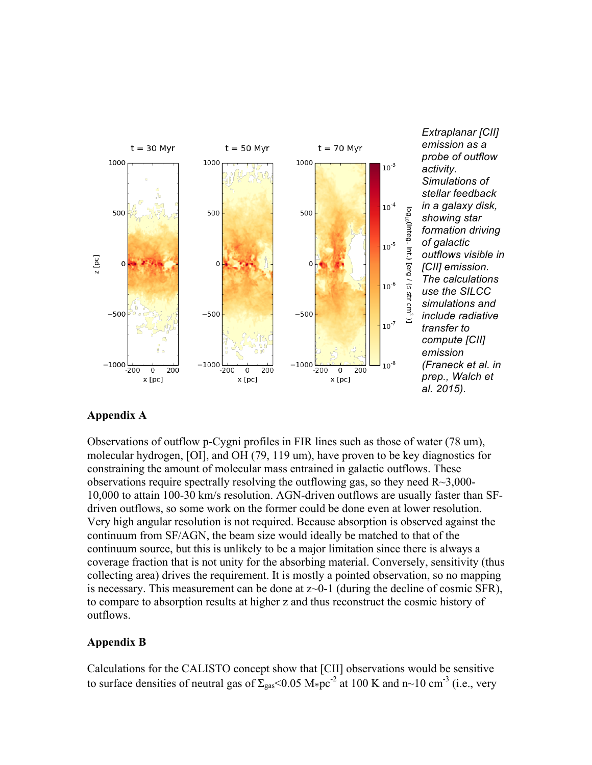

*Extraplanar [CII] emission as a probe of outflow activity. Simulations of stellar feedback in a galaxy disk, showing star formation driving of galactic outflows visible in [CII] emission. The calculations use the SILCC simulations and include radiative transfer to compute [CII] emission (Franeck et al. in prep., Walch et al. 2015).*

#### **Appendix A**

Observations of outflow p-Cygni profiles in FIR lines such as those of water (78 um), molecular hydrogen, [OI], and OH (79, 119 um), have proven to be key diagnostics for constraining the amount of molecular mass entrained in galactic outflows. These observations require spectrally resolving the outflowing gas, so they need  $R \sim 3,000$ -10,000 to attain 100-30 km/s resolution. AGN-driven outflows are usually faster than SFdriven outflows, so some work on the former could be done even at lower resolution. Very high angular resolution is not required. Because absorption is observed against the continuum from SF/AGN, the beam size would ideally be matched to that of the continuum source, but this is unlikely to be a major limitation since there is always a coverage fraction that is not unity for the absorbing material. Conversely, sensitivity (thus collecting area) drives the requirement. It is mostly a pointed observation, so no mapping is necessary. This measurement can be done at  $z$  -0-1 (during the decline of cosmic SFR), to compare to absorption results at higher z and thus reconstruct the cosmic history of outflows.

#### **Appendix B**

Calculations for the CALISTO concept show that [CII] observations would be sensitive to surface densities of neutral gas of  $\Sigma_{\rm gas}$  < 0.05 M⋅pc<sup>-2</sup> at 100 K and n~10 cm<sup>-3</sup> (i.e., very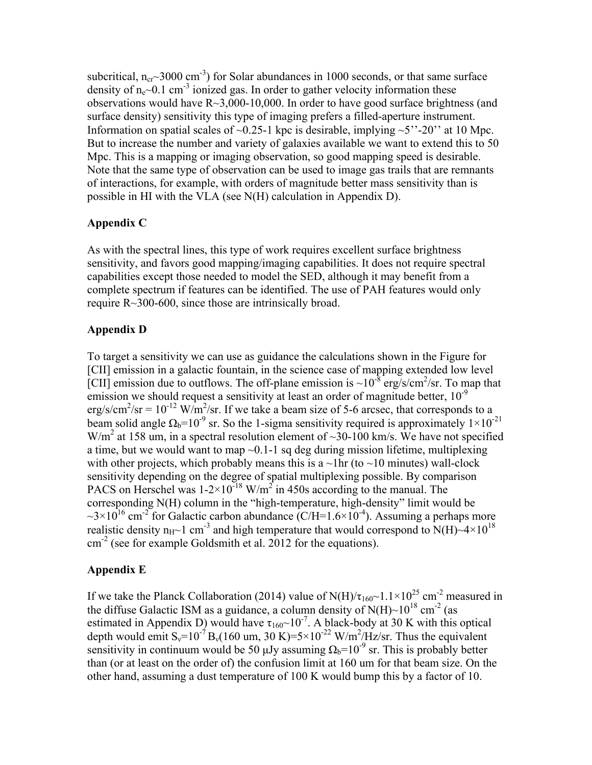subcritical,  $n_{cr}$  3000 cm<sup>-3</sup>) for Solar abundances in 1000 seconds, or that same surface density of  $n_e$  ~0.1 cm<sup>-3</sup> ionized gas. In order to gather velocity information these observations would have R~3,000-10,000. In order to have good surface brightness (and surface density) sensitivity this type of imaging prefers a filled-aperture instrument. Information on spatial scales of  $\sim 0.25$ -1 kpc is desirable, implying  $\sim 5$ "-20" at 10 Mpc. But to increase the number and variety of galaxies available we want to extend this to 50 Mpc. This is a mapping or imaging observation, so good mapping speed is desirable. Note that the same type of observation can be used to image gas trails that are remnants of interactions, for example, with orders of magnitude better mass sensitivity than is possible in HI with the VLA (see N(H) calculation in Appendix D).

## **Appendix C**

As with the spectral lines, this type of work requires excellent surface brightness sensitivity, and favors good mapping/imaging capabilities. It does not require spectral capabilities except those needed to model the SED, although it may benefit from a complete spectrum if features can be identified. The use of PAH features would only require R~300-600, since those are intrinsically broad.

## **Appendix D**

To target a sensitivity we can use as guidance the calculations shown in the Figure for [CII] emission in a galactic fountain, in the science case of mapping extended low level [CII] emission due to outflows. The off-plane emission is  $\sim 10^{-8}$  erg/s/cm<sup>2</sup>/sr. To map that emission we should request a sensitivity at least an order of magnitude better,  $10^{-9}$ erg/s/cm<sup>2</sup>/sr =  $10^{-12}$  W/m<sup>2</sup>/sr. If we take a beam size of 5-6 arcsec, that corresponds to a beam solid angle  $\Omega_b$ =10<sup>-9</sup> sr. So the 1-sigma sensitivity required is approximately  $1 \times 10^{-21}$ W/m<sup>2</sup> at 158 um, in a spectral resolution element of ~30-100 km/s. We have not specified a time, but we would want to map ~0.1-1 sq deg during mission lifetime, multiplexing with other projects, which probably means this is a  $\sim$ 1hr (to  $\sim$ 10 minutes) wall-clock sensitivity depending on the degree of spatial multiplexing possible. By comparison PACS on Herschel was  $1-2\times10^{-18}$  W/m<sup>2</sup> in 450s according to the manual. The corresponding N(H) column in the "high-temperature, high-density" limit would be  $\sim$ 3×10<sup>16</sup> cm<sup>-2</sup> for Galactic carbon abundance (C/H=1.6×10<sup>-4</sup>). Assuming a perhaps more realistic density  $n_{H}$ ~1 cm<sup>-3</sup> and high temperature that would correspond to N(H)~4×10<sup>18</sup>  $\text{cm}^{-2}$  (see for example Goldsmith et al. 2012 for the equations).

### **Appendix E**

If we take the Planck Collaboration (2014) value of N(H)/ $\tau_{160}$ ~1.1×10<sup>25</sup> cm<sup>-2</sup> measured in the diffuse Galactic ISM as a guidance, a column density of  $N(H)$ ~10<sup>18</sup> cm<sup>-2</sup> (as estimated in Appendix D) would have  $\tau_{160}$ ~10<sup>-7</sup>. A black-body at 30 K with this optical depth would emit  $S_v=10^{-7} B_v(160 \text{ um}, 30 \text{ K})=5\times10^{-22} \text{ W/m}^2/\text{Hz/sr}$ . Thus the equivalent sensitivity in continuum would be 50 µJy assuming  $\Omega_b=10^{-9}$  sr. This is probably better than (or at least on the order of) the confusion limit at 160 um for that beam size. On the other hand, assuming a dust temperature of 100 K would bump this by a factor of 10.